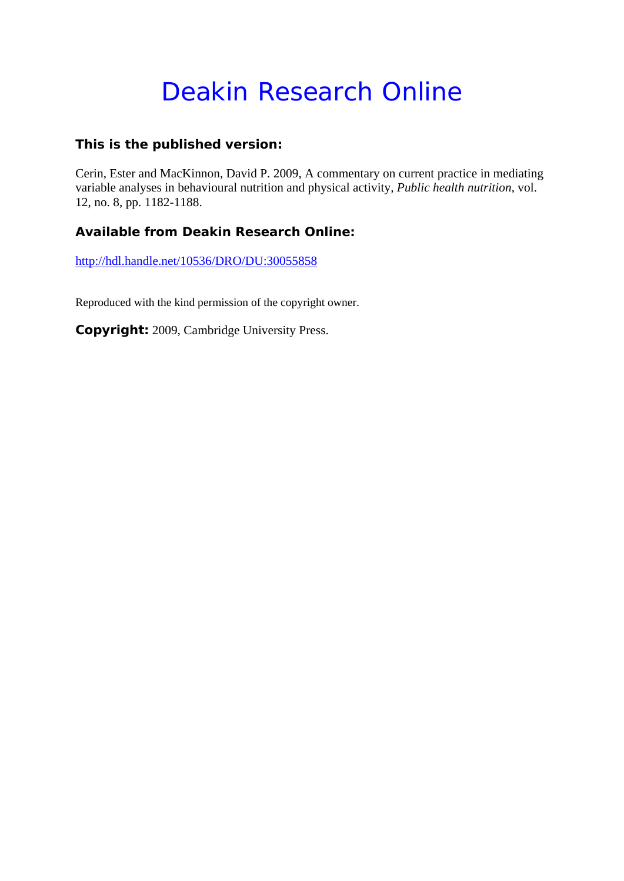# Deakin Research Online

## **This is the published version:**

Cerin, Ester and MacKinnon, David P. 2009, A commentary on current practice in mediating variable analyses in behavioural nutrition and physical activity*, Public health nutrition*, vol. 12, no. 8, pp. 1182-1188.

# **Available from Deakin Research Online:**

http://hdl.handle.net/10536/DRO/DU:30055858

Reproduced with the kind permission of the copyright owner.

**Copyright:** 2009, Cambridge University Press.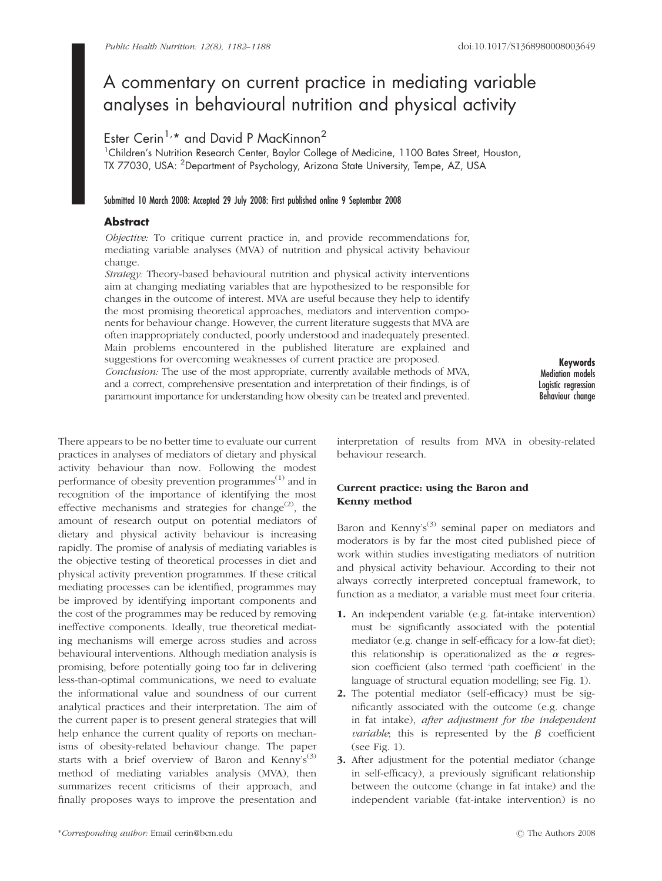# A commentary on current practice in mediating variable analyses in behavioural nutrition and physical activity

## Ester Cerin<sup>1,\*</sup> and David P MacKinnon<sup>2</sup>

<sup>1</sup>Children's Nutrition Research Center, Baylor College of Medicine, 1100 Bates Street, Houston, TX 77030, USA: <sup>2</sup>Department of Psychology, Arizona State University, Tempe, AZ, USA

#### Submitted 10 March 2008: Accepted 29 July 2008: First published online 9 September 2008

#### **Abstract**

Objective: To critique current practice in, and provide recommendations for, mediating variable analyses (MVA) of nutrition and physical activity behaviour change.

Strategy: Theory-based behavioural nutrition and physical activity interventions aim at changing mediating variables that are hypothesized to be responsible for changes in the outcome of interest. MVA are useful because they help to identify the most promising theoretical approaches, mediators and intervention components for behaviour change. However, the current literature suggests that MVA are often inappropriately conducted, poorly understood and inadequately presented. Main problems encountered in the published literature are explained and suggestions for overcoming weaknesses of current practice are proposed. Conclusion: The use of the most appropriate, currently available methods of MVA,

and a correct, comprehensive presentation and interpretation of their findings, is of paramount importance for understanding how obesity can be treated and prevented.

Keywords Mediation models Logistic regression Behaviour change

There appears to be no better time to evaluate our current practices in analyses of mediators of dietary and physical activity behaviour than now. Following the modest performance of obesity prevention programmes<sup>(1)</sup> and in recognition of the importance of identifying the most effective mechanisms and strategies for change<sup>(2)</sup>, the amount of research output on potential mediators of dietary and physical activity behaviour is increasing rapidly. The promise of analysis of mediating variables is the objective testing of theoretical processes in diet and physical activity prevention programmes. If these critical mediating processes can be identified, programmes may be improved by identifying important components and the cost of the programmes may be reduced by removing ineffective components. Ideally, true theoretical mediating mechanisms will emerge across studies and across behavioural interventions. Although mediation analysis is promising, before potentially going too far in delivering less-than-optimal communications, we need to evaluate the informational value and soundness of our current analytical practices and their interpretation. The aim of the current paper is to present general strategies that will help enhance the current quality of reports on mechanisms of obesity-related behaviour change. The paper starts with a brief overview of Baron and Kenny's<sup>(3)</sup> method of mediating variables analysis (MVA), then summarizes recent criticisms of their approach, and finally proposes ways to improve the presentation and

interpretation of results from MVA in obesity-related behaviour research.

#### Current practice: using the Baron and Kenny method

Baron and Kenny's<sup>(3)</sup> seminal paper on mediators and moderators is by far the most cited published piece of work within studies investigating mediators of nutrition and physical activity behaviour. According to their not always correctly interpreted conceptual framework, to function as a mediator, a variable must meet four criteria.

- 1. An independent variable (e.g. fat-intake intervention) must be significantly associated with the potential mediator (e.g. change in self-efficacy for a low-fat diet); this relationship is operationalized as the  $\alpha$  regression coefficient (also termed 'path coefficient' in the language of structural equation modelling; see Fig. 1).
- 2. The potential mediator (self-efficacy) must be significantly associated with the outcome (e.g. change in fat intake), after adjustment for the independent *variable*; this is represented by the  $\beta$  coefficient (see Fig. 1).
- 3. After adjustment for the potential mediator (change in self-efficacy), a previously significant relationship between the outcome (change in fat intake) and the independent variable (fat-intake intervention) is no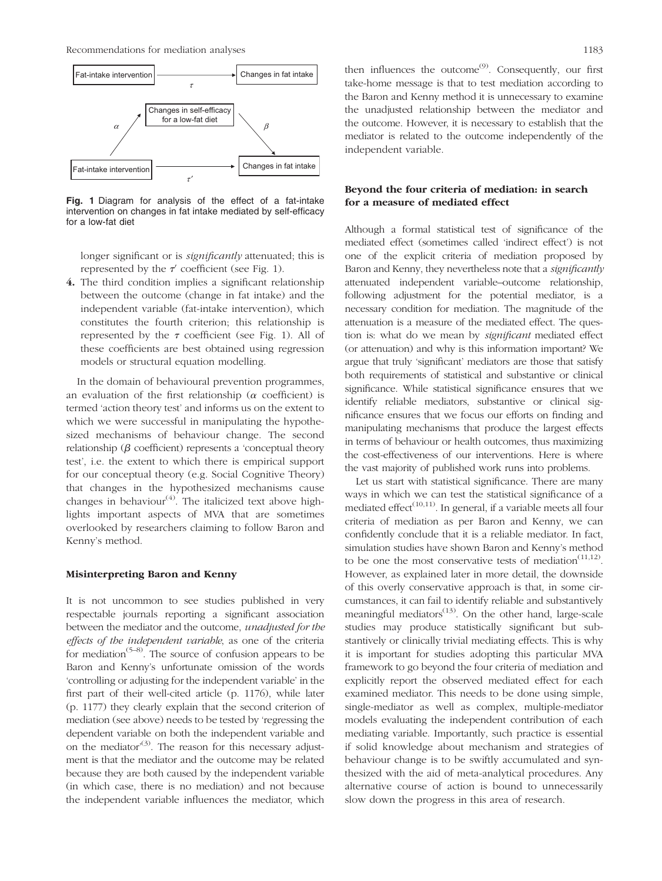Recommendations for mediation analyses 1183



Fig. 1 Diagram for analysis of the effect of a fat-intake intervention on changes in fat intake mediated by self-efficacy for a low-fat diet

longer significant or is *significantly* attenuated; this is represented by the  $\tau'$  coefficient (see Fig. 1).

4. The third condition implies a significant relationship between the outcome (change in fat intake) and the independent variable (fat-intake intervention), which constitutes the fourth criterion; this relationship is represented by the  $\tau$  coefficient (see Fig. 1). All of these coefficients are best obtained using regression models or structural equation modelling.

In the domain of behavioural prevention programmes, an evaluation of the first relationship ( $\alpha$  coefficient) is termed 'action theory test' and informs us on the extent to which we were successful in manipulating the hypothesized mechanisms of behaviour change. The second relationship ( $\beta$  coefficient) represents a 'conceptual theory test', i.e. the extent to which there is empirical support for our conceptual theory (e.g. Social Cognitive Theory) that changes in the hypothesized mechanisms cause changes in behaviour<sup>(4)</sup>. The italicized text above highlights important aspects of MVA that are sometimes overlooked by researchers claiming to follow Baron and Kenny's method.

#### Misinterpreting Baron and Kenny

It is not uncommon to see studies published in very respectable journals reporting a significant association between the mediator and the outcome, unadjusted for the effects of the independent variable, as one of the criteria for mediation<sup> $(5-8)$ </sup>. The source of confusion appears to be Baron and Kenny's unfortunate omission of the words 'controlling or adjusting for the independent variable' in the first part of their well-cited article (p. 1176), while later (p. 1177) they clearly explain that the second criterion of mediation (see above) needs to be tested by 'regressing the dependent variable on both the independent variable and on the mediator<sup> $(3)$ </sup>. The reason for this necessary adjustment is that the mediator and the outcome may be related because they are both caused by the independent variable (in which case, there is no mediation) and not because the independent variable influences the mediator, which

then influences the outcome<sup> $(9)$ </sup>. Consequently, our first take-home message is that to test mediation according to the Baron and Kenny method it is unnecessary to examine the unadjusted relationship between the mediator and the outcome. However, it is necessary to establish that the mediator is related to the outcome independently of the independent variable.

#### Beyond the four criteria of mediation: in search for a measure of mediated effect

Although a formal statistical test of significance of the mediated effect (sometimes called 'indirect effect') is not one of the explicit criteria of mediation proposed by Baron and Kenny, they nevertheless note that a *significantly* attenuated independent variable–outcome relationship, following adjustment for the potential mediator, is a necessary condition for mediation. The magnitude of the attenuation is a measure of the mediated effect. The question is: what do we mean by significant mediated effect (or attenuation) and why is this information important? We argue that truly 'significant' mediators are those that satisfy both requirements of statistical and substantive or clinical significance. While statistical significance ensures that we identify reliable mediators, substantive or clinical significance ensures that we focus our efforts on finding and manipulating mechanisms that produce the largest effects in terms of behaviour or health outcomes, thus maximizing the cost-effectiveness of our interventions. Here is where the vast majority of published work runs into problems.

Let us start with statistical significance. There are many ways in which we can test the statistical significance of a mediated effect<sup>(10,11)</sup>. In general, if a variable meets all four criteria of mediation as per Baron and Kenny, we can confidently conclude that it is a reliable mediator. In fact, simulation studies have shown Baron and Kenny's method to be one the most conservative tests of mediation<sup> $(11,12)$ </sup>. However, as explained later in more detail, the downside of this overly conservative approach is that, in some circumstances, it can fail to identify reliable and substantively meaningful mediators $^{(13)}$ . On the other hand, large-scale studies may produce statistically significant but substantively or clinically trivial mediating effects. This is why it is important for studies adopting this particular MVA framework to go beyond the four criteria of mediation and explicitly report the observed mediated effect for each examined mediator. This needs to be done using simple, single-mediator as well as complex, multiple-mediator models evaluating the independent contribution of each mediating variable. Importantly, such practice is essential if solid knowledge about mechanism and strategies of behaviour change is to be swiftly accumulated and synthesized with the aid of meta-analytical procedures. Any alternative course of action is bound to unnecessarily slow down the progress in this area of research.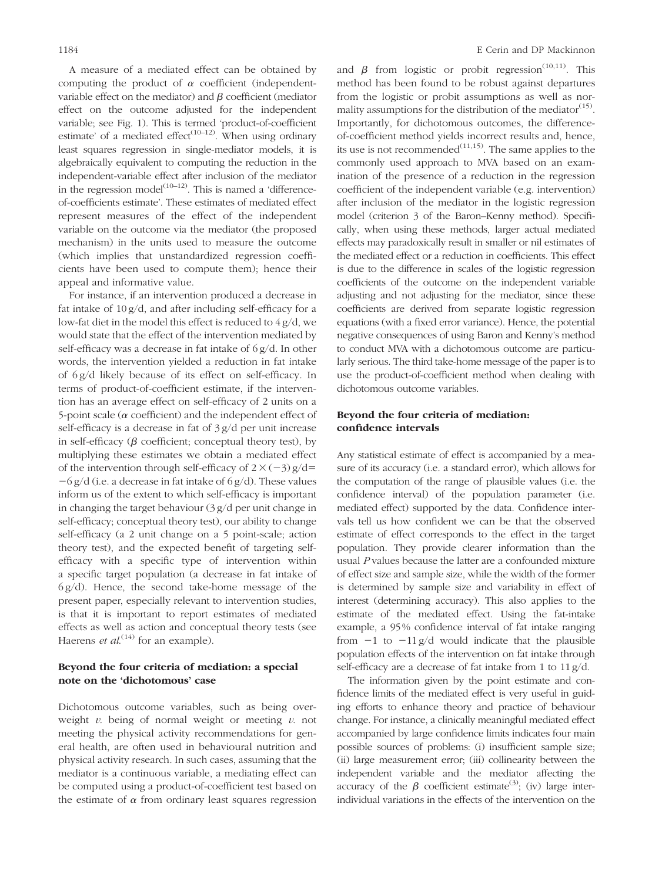A measure of a mediated effect can be obtained by computing the product of  $\alpha$  coefficient (independentvariable effect on the mediator) and  $\beta$  coefficient (mediator effect on the outcome adjusted for the independent variable; see Fig. 1). This is termed 'product-of-coefficient estimate' of a mediated effect<sup> $(10-12)$ </sup>. When using ordinary least squares regression in single-mediator models, it is algebraically equivalent to computing the reduction in the independent-variable effect after inclusion of the mediator in the regression model<sup> $(10-12)$ </sup>. This is named a 'differenceof-coefficients estimate'. These estimates of mediated effect represent measures of the effect of the independent variable on the outcome via the mediator (the proposed mechanism) in the units used to measure the outcome (which implies that unstandardized regression coefficients have been used to compute them); hence their appeal and informative value.

For instance, if an intervention produced a decrease in fat intake of 10 g/d, and after including self-efficacy for a low-fat diet in the model this effect is reduced to 4 g/d, we would state that the effect of the intervention mediated by self-efficacy was a decrease in fat intake of 6 g/d. In other words, the intervention yielded a reduction in fat intake of 6 g/d likely because of its effect on self-efficacy. In terms of product-of-coefficient estimate, if the intervention has an average effect on self-efficacy of 2 units on a 5-point scale ( $\alpha$  coefficient) and the independent effect of self-efficacy is a decrease in fat of 3 g/d per unit increase in self-efficacy ( $\beta$  coefficient; conceptual theory test), by multiplying these estimates we obtain a mediated effect of the intervention through self-efficacy of  $2 \times (-3)$  g/d=  $-6$  g/d (i.e. a decrease in fat intake of 6 g/d). These values inform us of the extent to which self-efficacy is important in changing the target behaviour (3 g/d per unit change in self-efficacy; conceptual theory test), our ability to change self-efficacy (a 2 unit change on a 5 point-scale; action theory test), and the expected benefit of targeting selfefficacy with a specific type of intervention within a specific target population (a decrease in fat intake of  $6 g/d$ ). Hence, the second take-home message of the present paper, especially relevant to intervention studies, is that it is important to report estimates of mediated effects as well as action and conceptual theory tests (see Haerens *et al.*<sup>(14)</sup> for an example).

#### Beyond the four criteria of mediation: a special note on the 'dichotomous' case

Dichotomous outcome variables, such as being overweight  $v$ . being of normal weight or meeting  $v$ . not meeting the physical activity recommendations for general health, are often used in behavioural nutrition and physical activity research. In such cases, assuming that the mediator is a continuous variable, a mediating effect can be computed using a product-of-coefficient test based on the estimate of  $\alpha$  from ordinary least squares regression and  $\beta$  from logistic or probit regression<sup>(10,11)</sup>. This method has been found to be robust against departures from the logistic or probit assumptions as well as normality assumptions for the distribution of the mediator $(15)$ . Importantly, for dichotomous outcomes, the differenceof-coefficient method yields incorrect results and, hence, its use is not recommended $(11,15)$ . The same applies to the commonly used approach to MVA based on an examination of the presence of a reduction in the regression coefficient of the independent variable (e.g. intervention) after inclusion of the mediator in the logistic regression model (criterion 3 of the Baron–Kenny method). Specifically, when using these methods, larger actual mediated effects may paradoxically result in smaller or nil estimates of the mediated effect or a reduction in coefficients. This effect is due to the difference in scales of the logistic regression coefficients of the outcome on the independent variable adjusting and not adjusting for the mediator, since these coefficients are derived from separate logistic regression equations (with a fixed error variance). Hence, the potential negative consequences of using Baron and Kenny's method to conduct MVA with a dichotomous outcome are particularly serious. The third take-home message of the paper is to use the product-of-coefficient method when dealing with dichotomous outcome variables.

#### Beyond the four criteria of mediation: confidence intervals

Any statistical estimate of effect is accompanied by a measure of its accuracy (i.e. a standard error), which allows for the computation of the range of plausible values (i.e. the confidence interval) of the population parameter (i.e. mediated effect) supported by the data. Confidence intervals tell us how confident we can be that the observed estimate of effect corresponds to the effect in the target population. They provide clearer information than the usual P values because the latter are a confounded mixture of effect size and sample size, while the width of the former is determined by sample size and variability in effect of interest (determining accuracy). This also applies to the estimate of the mediated effect. Using the fat-intake example, a 95 % confidence interval of fat intake ranging from  $-1$  to  $-11 g/d$  would indicate that the plausible population effects of the intervention on fat intake through self-efficacy are a decrease of fat intake from 1 to 11 g/d.

The information given by the point estimate and confidence limits of the mediated effect is very useful in guiding efforts to enhance theory and practice of behaviour change. For instance, a clinically meaningful mediated effect accompanied by large confidence limits indicates four main possible sources of problems: (i) insufficient sample size; (ii) large measurement error; (iii) collinearity between the independent variable and the mediator affecting the accuracy of the  $\beta$  coefficient estimate<sup>(3)</sup>; (iv) large interindividual variations in the effects of the intervention on the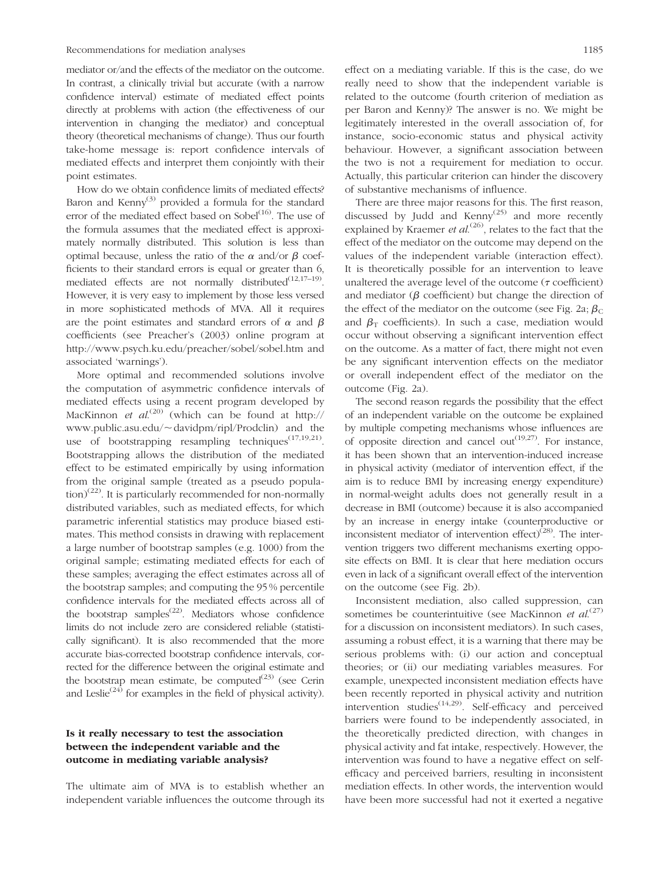mediator or/and the effects of the mediator on the outcome. In contrast, a clinically trivial but accurate (with a narrow confidence interval) estimate of mediated effect points directly at problems with action (the effectiveness of our intervention in changing the mediator) and conceptual theory (theoretical mechanisms of change). Thus our fourth take-home message is: report confidence intervals of mediated effects and interpret them conjointly with their point estimates.

How do we obtain confidence limits of mediated effects? Baron and Kenny<sup>(3)</sup> provided a formula for the standard error of the mediated effect based on Sobel<sup>(16)</sup>. The use of the formula assumes that the mediated effect is approximately normally distributed. This solution is less than optimal because, unless the ratio of the  $\alpha$  and/or  $\beta$  coefficients to their standard errors is equal or greater than 6, mediated effects are not normally distributed<sup>(12,17–19)</sup>. However, it is very easy to implement by those less versed in more sophisticated methods of MVA. All it requires are the point estimates and standard errors of  $\alpha$  and  $\beta$ coefficients (see Preacher's (2003) online program at http://www.psych.ku.edu/preacher/sobel/sobel.htm and associated 'warnings').

More optimal and recommended solutions involve the computation of asymmetric confidence intervals of mediated effects using a recent program developed by MacKinnon *et al.*<sup>(20)</sup> (which can be found at http:// www.public.asu.edu/~davidpm/ripl/Prodclin) and the use of bootstrapping resampling techniques $(17,19,21)$ . Bootstrapping allows the distribution of the mediated effect to be estimated empirically by using information from the original sample (treated as a pseudo popula- $\text{tion}^{(22)}$ . It is particularly recommended for non-normally distributed variables, such as mediated effects, for which parametric inferential statistics may produce biased estimates. This method consists in drawing with replacement a large number of bootstrap samples (e.g. 1000) from the original sample; estimating mediated effects for each of these samples; averaging the effect estimates across all of the bootstrap samples; and computing the 95 % percentile confidence intervals for the mediated effects across all of the bootstrap samples<sup> $(22)$ </sup>. Mediators whose confidence limits do not include zero are considered reliable (statistically significant). It is also recommended that the more accurate bias-corrected bootstrap confidence intervals, corrected for the difference between the original estimate and the bootstrap mean estimate, be computed $(23)$  (see Cerin and Leslie<sup> $(24)$ </sup> for examples in the field of physical activity).

#### Is it really necessary to test the association between the independent variable and the outcome in mediating variable analysis?

The ultimate aim of MVA is to establish whether an independent variable influences the outcome through its effect on a mediating variable. If this is the case, do we really need to show that the independent variable is related to the outcome (fourth criterion of mediation as per Baron and Kenny)? The answer is no. We might be legitimately interested in the overall association of, for instance, socio-economic status and physical activity behaviour. However, a significant association between the two is not a requirement for mediation to occur. Actually, this particular criterion can hinder the discovery of substantive mechanisms of influence.

There are three major reasons for this. The first reason, discussed by Judd and Kenny<sup>(25)</sup> and more recently explained by Kraemer *et al.*<sup>(26)</sup>, relates to the fact that the effect of the mediator on the outcome may depend on the values of the independent variable (interaction effect). It is theoretically possible for an intervention to leave unaltered the average level of the outcome  $(\tau \text{ coefficient})$ and mediator ( $\beta$  coefficient) but change the direction of the effect of the mediator on the outcome (see Fig. 2a;  $\beta_c$ ) and  $\beta$ <sub>T</sub> coefficients). In such a case, mediation would occur without observing a significant intervention effect on the outcome. As a matter of fact, there might not even be any significant intervention effects on the mediator or overall independent effect of the mediator on the outcome (Fig. 2a).

The second reason regards the possibility that the effect of an independent variable on the outcome be explained by multiple competing mechanisms whose influences are of opposite direction and cancel out<sup> $(19,27)$ </sup>. For instance, it has been shown that an intervention-induced increase in physical activity (mediator of intervention effect, if the aim is to reduce BMI by increasing energy expenditure) in normal-weight adults does not generally result in a decrease in BMI (outcome) because it is also accompanied by an increase in energy intake (counterproductive or inconsistent mediator of intervention effect)<sup>(28)</sup>. The intervention triggers two different mechanisms exerting opposite effects on BMI. It is clear that here mediation occurs even in lack of a significant overall effect of the intervention on the outcome (see Fig. 2b).

Inconsistent mediation, also called suppression, can sometimes be counterintuitive (see MacKinnon et  $al^{(27)}$ for a discussion on inconsistent mediators). In such cases, assuming a robust effect, it is a warning that there may be serious problems with: (i) our action and conceptual theories; or (ii) our mediating variables measures. For example, unexpected inconsistent mediation effects have been recently reported in physical activity and nutrition intervention studies<sup> $(14,29)$ </sup>. Self-efficacy and perceived barriers were found to be independently associated, in the theoretically predicted direction, with changes in physical activity and fat intake, respectively. However, the intervention was found to have a negative effect on selfefficacy and perceived barriers, resulting in inconsistent mediation effects. In other words, the intervention would have been more successful had not it exerted a negative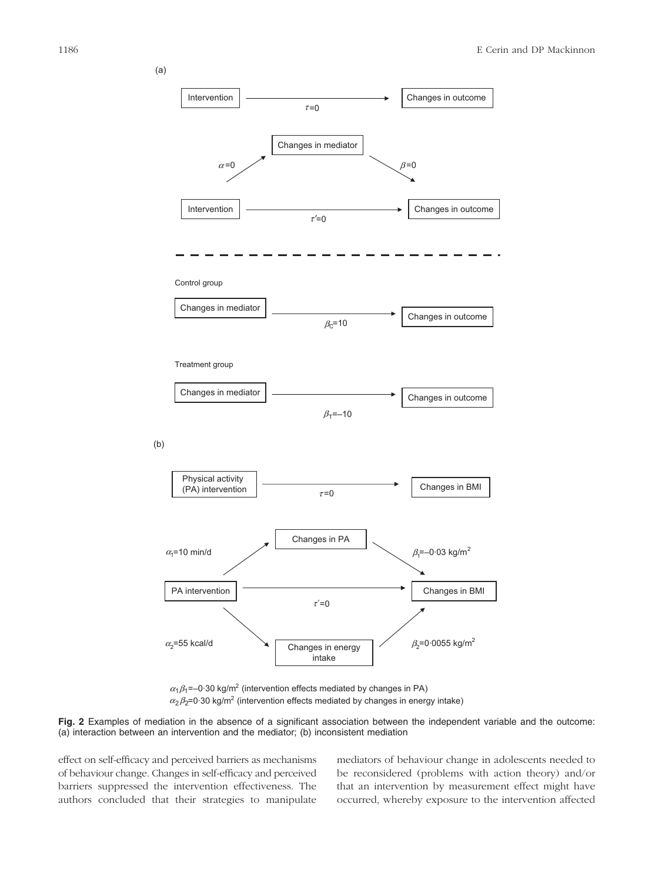



 $\alpha_1 \beta_1 = -0.30$  kg/m<sup>2</sup> (intervention effects mediated by changes in PA)  $\alpha_2\beta_2$ =0·30 kg/m<sup>2</sup> (intervention effects mediated by changes in energy intake)

Fig. 2 Examples of mediation in the absence of a significant association between the independent variable and the outcome: (a) interaction between an intervention and the mediator; (b) inconsistent mediation

effect on self-efficacy and perceived barriers as mechanisms of behaviour change. Changes in self-efficacy and perceived barriers suppressed the intervention effectiveness. The authors concluded that their strategies to manipulate

mediators of behaviour change in adolescents needed to be reconsidered (problems with action theory) and/or that an intervention by measurement effect might have occurred, whereby exposure to the intervention affected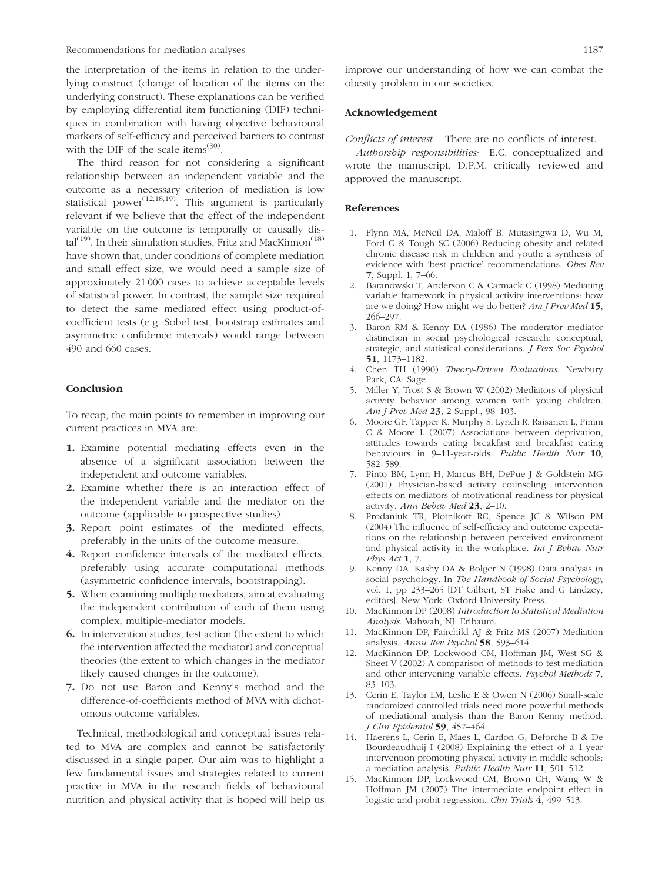Recommendations for mediation analyses 1187

the interpretation of the items in relation to the underlying construct (change of location of the items on the underlying construct). These explanations can be verified by employing differential item functioning (DIF) techniques in combination with having objective behavioural markers of self-efficacy and perceived barriers to contrast with the DIF of the scale items<sup>(30)</sup>.

The third reason for not considering a significant relationship between an independent variable and the outcome as a necessary criterion of mediation is low statistical power<sup> $(12,18,19)$ </sup>. This argument is particularly relevant if we believe that the effect of the independent variable on the outcome is temporally or causally dis $tal^{(19)}$ . In their simulation studies, Fritz and MacKinnon<sup>(18)</sup> have shown that, under conditions of complete mediation and small effect size, we would need a sample size of approximately 21 000 cases to achieve acceptable levels of statistical power. In contrast, the sample size required to detect the same mediated effect using product-ofcoefficient tests (e.g. Sobel test, bootstrap estimates and asymmetric confidence intervals) would range between 490 and 660 cases.

#### Conclusion

To recap, the main points to remember in improving our current practices in MVA are:

- 1. Examine potential mediating effects even in the absence of a significant association between the independent and outcome variables.
- 2. Examine whether there is an interaction effect of the independent variable and the mediator on the outcome (applicable to prospective studies).
- 3. Report point estimates of the mediated effects, preferably in the units of the outcome measure.
- 4. Report confidence intervals of the mediated effects, preferably using accurate computational methods (asymmetric confidence intervals, bootstrapping).
- 5. When examining multiple mediators, aim at evaluating the independent contribution of each of them using complex, multiple-mediator models.
- 6. In intervention studies, test action (the extent to which the intervention affected the mediator) and conceptual theories (the extent to which changes in the mediator likely caused changes in the outcome).
- 7. Do not use Baron and Kenny's method and the difference-of-coefficients method of MVA with dichotomous outcome variables.

Technical, methodological and conceptual issues related to MVA are complex and cannot be satisfactorily discussed in a single paper. Our aim was to highlight a few fundamental issues and strategies related to current practice in MVA in the research fields of behavioural nutrition and physical activity that is hoped will help us

improve our understanding of how we can combat the obesity problem in our societies.

#### Acknowledgement

Conflicts of interest: There are no conflicts of interest.

Authorship responsibilities: E.C. conceptualized and wrote the manuscript. D.P.M. critically reviewed and approved the manuscript.

#### References

- 1. Flynn MA, McNeil DA, Maloff B, Mutasingwa D, Wu M, Ford C & Tough SC (2006) Reducing obesity and related chronic disease risk in children and youth: a synthesis of evidence with 'best practice' recommendations. Obes Rev 7, Suppl. 1, 7–66.
- 2. Baranowski T, Anderson C & Carmack C (1998) Mediating variable framework in physical activity interventions: how are we doing? How might we do better? Am J Prev Med 15, 266–297.
- 3. Baron RM & Kenny DA (1986) The moderator–mediator distinction in social psychological research: conceptual, strategic, and statistical considerations. *J Pers Soc Psychol* 51, 1173–1182.
- Chen TH (1990) Theory-Driven Evaluations. Newbury Park, CA: Sage.
- 5. Miller Y, Trost S & Brown W (2002) Mediators of physical activity behavior among women with young children. Am *J Prev Med* 23, 2 Suppl., 98-103.
- 6. Moore GF, Tapper K, Murphy S, Lynch R, Raisanen L, Pimm C & Moore L (2007) Associations between deprivation, attitudes towards eating breakfast and breakfast eating behaviours in 9–11-year-olds. Public Health Nutr 10, 582–589.
- 7. Pinto BM, Lynn H, Marcus BH, DePue J & Goldstein MG (2001) Physician-based activity counseling: intervention effects on mediators of motivational readiness for physical activity. Ann Behav Med 23, 2–10.
- 8. Prodaniuk TR, Plotnikoff RC, Spence JC & Wilson PM (2004) The influence of self-efficacy and outcome expectations on the relationship between perceived environment and physical activity in the workplace. Int J Behav Nutr Phys  $Act$  1, 7.
- 9. Kenny DA, Kashy DA & Bolger N (1998) Data analysis in social psychology. In The Handbook of Social Psychology, vol. 1, pp 233–265 [DT Gilbert, ST Fiske and G Lindzey, editors]. New York: Oxford University Press.
- 10. MacKinnon DP (2008) Introduction to Statistical Mediation Analysis. Mahwah, NJ: Erlbaum.
- 11. MacKinnon DP, Fairchild AJ & Fritz MS (2007) Mediation analysis. Annu Rev Psychol 58, 593–614.
- 12. MacKinnon DP, Lockwood CM, Hoffman JM, West SG & Sheet V (2002) A comparison of methods to test mediation and other intervening variable effects. Psychol Methods 7, 83–103.
- 13. Cerin E, Taylor LM, Leslie E & Owen N (2006) Small-scale randomized controlled trials need more powerful methods of mediational analysis than the Baron–Kenny method. J Clin Epidemiol 59, 457–464.
- 14. Haerens L, Cerin E, Maes L, Cardon G, Deforche B & De Bourdeaudhuij I (2008) Explaining the effect of a 1-year intervention promoting physical activity in middle schools: a mediation analysis. Public Health Nutr 11, 501–512.
- 15. MacKinnon DP, Lockwood CM, Brown CH, Wang W & Hoffman JM (2007) The intermediate endpoint effect in logistic and probit regression. Clin Trials 4, 499–513.